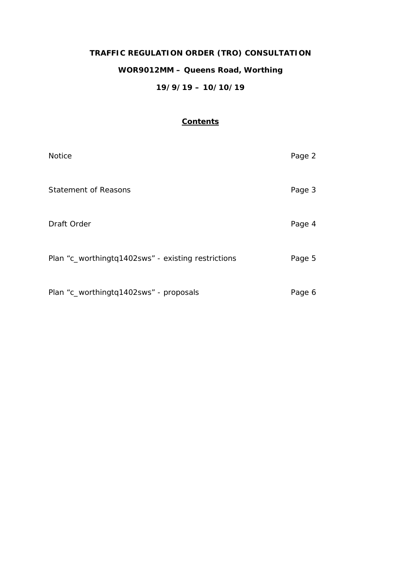# **TRAFFIC REGULATION ORDER (TRO) CONSULTATION WOR9012MM – Queens Road, Worthing 19/9/19 – 10/10/19**

## **Contents**

| <b>Notice</b>                                      | Page 2 |
|----------------------------------------------------|--------|
| <b>Statement of Reasons</b>                        | Page 3 |
| Draft Order                                        | Page 4 |
| Plan "c_worthingtq1402sws" - existing restrictions | Page 5 |
| Plan "c_worthingtq1402sws" - proposals             | Page 6 |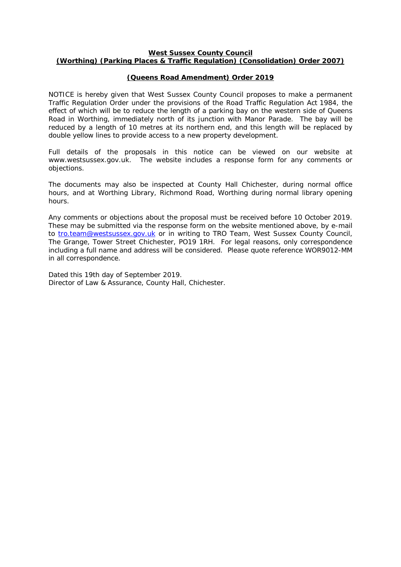## **West Sussex County Council (Worthing) (Parking Places & Traffic Regulation) (Consolidation) Order 2007)**

## **(Queens Road Amendment) Order 2019**

NOTICE is hereby given that West Sussex County Council proposes to make a permanent Traffic Regulation Order under the provisions of the Road Traffic Regulation Act 1984, the effect of which will be to reduce the length of a parking bay on the western side of Queens Road in Worthing, immediately north of its junction with Manor Parade. The bay will be reduced by a length of 10 metres at its northern end, and this length will be replaced by double yellow lines to provide access to a new property development.

Full details of the proposals in this notice can be viewed on our website at www.westsussex.gov.uk. The website includes a response form for any comments or objections.

The documents may also be inspected at County Hall Chichester, during normal office hours, and at Worthing Library, Richmond Road, Worthing during normal library opening hours.

Any comments or objections about the proposal must be received before 10 October 2019. These may be submitted via the response form on the website mentioned above, by e-mail to [tro.team@westsussex.gov.uk](mailto:tro.team@westsussex.gov.uk) or in writing to TRO Team, West Sussex County Council, The Grange, Tower Street Chichester, PO19 1RH. For legal reasons, only correspondence including a full name and address will be considered. Please quote reference WOR9012-MM in all correspondence.

Dated this 19th day of September 2019. Director of Law & Assurance, County Hall, Chichester.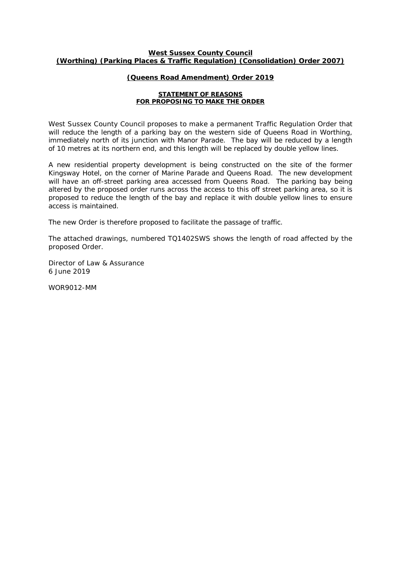#### **West Sussex County Council (Worthing) (Parking Places & Traffic Regulation) (Consolidation) Order 2007)**

## **(Queens Road Amendment) Order 2019**

#### **STATEMENT OF REASONS FOR PROPOSING TO MAKE THE ORDER**

West Sussex County Council proposes to make a permanent Traffic Regulation Order that will reduce the length of a parking bay on the western side of Queens Road in Worthing, immediately north of its junction with Manor Parade. The bay will be reduced by a length of 10 metres at its northern end, and this length will be replaced by double yellow lines.

A new residential property development is being constructed on the site of the former Kingsway Hotel, on the corner of Marine Parade and Queens Road. The new development will have an off-street parking area accessed from Queens Road. The parking bay being altered by the proposed order runs across the access to this off street parking area, so it is proposed to reduce the length of the bay and replace it with double yellow lines to ensure access is maintained.

The new Order is therefore proposed to facilitate the passage of traffic.

The attached drawings, numbered TQ1402SWS shows the length of road affected by the proposed Order.

Director of Law & Assurance 6 June 2019

WOR9012-MM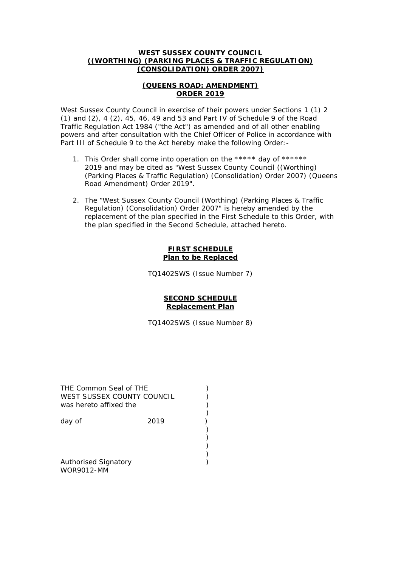## **WEST SUSSEX COUNTY COUNCIL ((WORTHING) (PARKING PLACES & TRAFFIC REGULATION) (CONSOLIDATION) ORDER 2007)**

## **(QUEENS ROAD: AMENDMENT) ORDER 2019**

West Sussex County Council in exercise of their powers under Sections 1 (1) 2 (1) and (2), 4 (2), 45, 46, 49 and 53 and Part IV of Schedule 9 of the Road Traffic Regulation Act 1984 ("the Act") as amended and of all other enabling powers and after consultation with the Chief Officer of Police in accordance with Part III of Schedule 9 to the Act hereby make the following Order: -

- 1. This Order shall come into operation on the \*\*\*\*\* day of \*\*\*\*\*\* 2019 and may be cited as "West Sussex County Council ((Worthing) (Parking Places & Traffic Regulation) (Consolidation) Order 2007) (Queens Road Amendment) Order 2019".
- 2. The "West Sussex County Council (Worthing) (Parking Places & Traffic Regulation) (Consolidation) Order 2007" is hereby amended by the replacement of the plan specified in the First Schedule to this Order, with the plan specified in the Second Schedule, attached hereto.

## **FIRST SCHEDULE Plan to be Replaced**

TQ1402SWS (Issue Number 7)

## **SECOND SCHEDULE Replacement Plan**

TQ1402SWS (Issue Number 8)

| THE Common Seal of THE<br>WEST SUSSEX COUNTY COUNCIL<br>was hereto affixed the |      |  |
|--------------------------------------------------------------------------------|------|--|
| day of                                                                         | 2019 |  |
|                                                                                |      |  |
| <b>Authorised Signatory</b>                                                    |      |  |

WOR9012-MM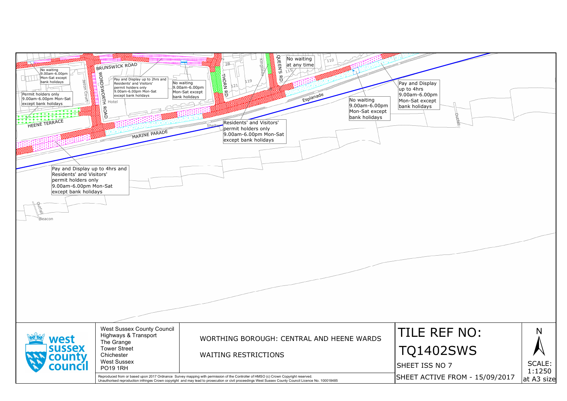| No waiting<br>9.00am-6.00pm<br>a dia 1979.<br>Ngjarjeriya<br>Mon-Sat except<br><b>Jason Count</b><br>bank holidays<br>Permit holders only<br>9.00am-6.00pm Mon-Sat<br>except bank holidays<br>チャナナキ<br>HEENE TERRACE<br>Pay and Display up to 4hrs and<br>Residents' and Visitors'<br>permit holders only<br>9.00am-6.00pm Mon-Sat<br>except bank holidays<br>butral)<br>Beacon | BRUNSWICK ROAD<br><b>PROBUTER PROPERTY</b><br>Pay and Display up to 2hrs and<br>Residents' and Visitors'<br>permit holders only<br>9.00am-6.00pm Mon-Sat<br>except bank holidays<br>MARINE PARADE | OUEEN'S<br>No waiting<br>$1_{110}$<br>Kingswa<br>$2B -$<br>at any time<br>115/<br><b>THORN RD.</b><br>$\mathcal{E}$<br>119<br>No waiting<br>-21<br>9.00am-6.00pm<br>Mon-Sat except<br>Esplanade<br>bank holidays<br>No waiting<br>9.00am-6.00pm<br>Mon-Sat except<br>bank holidays<br>Residents' and Visitors'<br>Shelte<br>permit holders only<br>9.00am-6.00pm Mon-Sat<br>except bank holidays | Pay and Display<br>$\mu$ p to 4hrs<br>9.00am-6.00pm<br>Mon-Sat except<br>bank holidays |
|---------------------------------------------------------------------------------------------------------------------------------------------------------------------------------------------------------------------------------------------------------------------------------------------------------------------------------------------------------------------------------|---------------------------------------------------------------------------------------------------------------------------------------------------------------------------------------------------|--------------------------------------------------------------------------------------------------------------------------------------------------------------------------------------------------------------------------------------------------------------------------------------------------------------------------------------------------------------------------------------------------|----------------------------------------------------------------------------------------|
|                                                                                                                                                                                                                                                                                                                                                                                 |                                                                                                                                                                                                   |                                                                                                                                                                                                                                                                                                                                                                                                  |                                                                                        |
| west                                                                                                                                                                                                                                                                                                                                                                            | <b>West Sussex County Council</b><br>Highways & Transport<br>The Grange                                                                                                                           | WORTHING BOROUGH: CENTRAL AND HEENE WARDS                                                                                                                                                                                                                                                                                                                                                        | TILE R                                                                                 |
| <b>SUSSEX</b><br>county                                                                                                                                                                                                                                                                                                                                                         | <b>Tower Street</b><br>Chichester<br><b>West Sussex</b>                                                                                                                                           | <b>WAITING RESTRICTIONS</b>                                                                                                                                                                                                                                                                                                                                                                      | TQ140                                                                                  |
| :ouncil                                                                                                                                                                                                                                                                                                                                                                         | <b>PO19 1RH</b>                                                                                                                                                                                   | Reproduced from or based upon 2017 Ordnance Survey mapping with permission of the Controller of HMSO (c) Crown Copyright reserved.                                                                                                                                                                                                                                                               | SHEET ISS I<br><b>SHEET ACTI</b>                                                       |
|                                                                                                                                                                                                                                                                                                                                                                                 |                                                                                                                                                                                                   | Unauthorised reproduction infringes Crown copyright and may lead to prosecution or civil proceedings West Sussex County Council Licence No. 100018485                                                                                                                                                                                                                                            |                                                                                        |